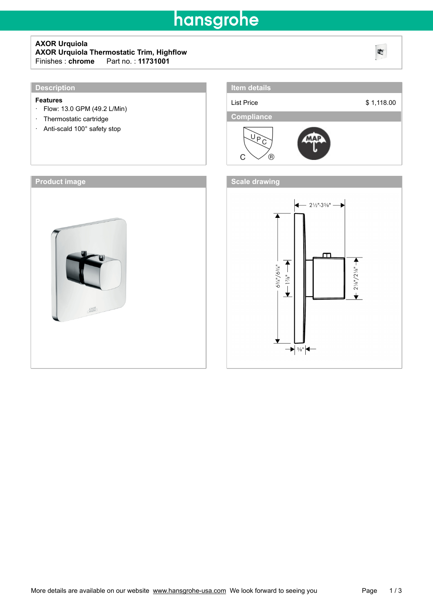## hansgrohe

### **AXOR Urquiola AXOR Urquiola Thermostatic Trim, Highflow** Fart no. : **11731001**

### **Description**

#### **Features**

- · Flow: 13.0 GPM (49.2 L/Min)
- · Thermostatic cartridge
- · Anti-scald 100° safety stop







4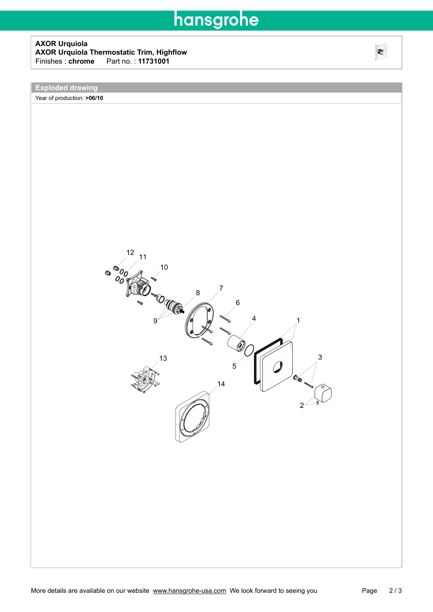# hansgrohe

### **AXOR Urquiola AXOR Urquiola Thermostatic Trim, Highflow** Finishes : **chrome**\_\_\_Part no. : **11731001**

**Exploded drawing**

Year of production: **>06/10**



吃